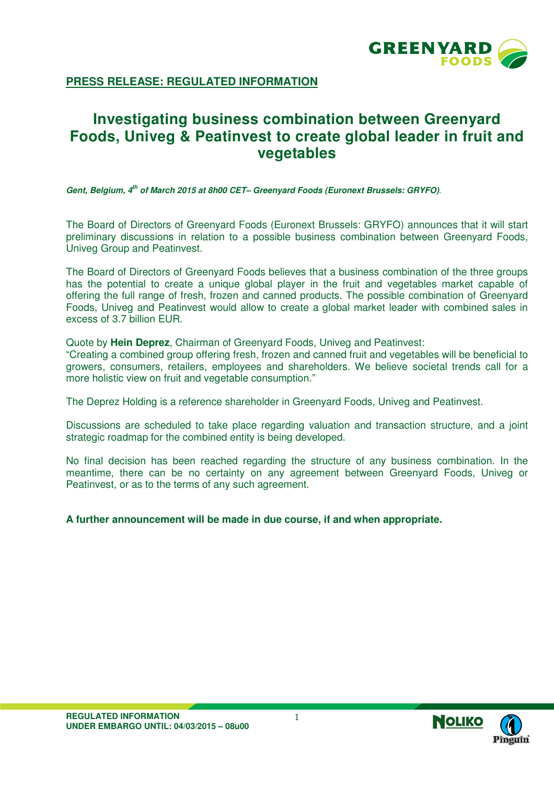

**PRESS RELEASE: REGULATED INFORMATION**

## **Investigating business combination between Greenyard Foods, Univeg & Peatinvest to create global leader in fruit and vegetables**

**Gent, Belgium, 4th of March 2015 at 8h00 CET– Greenyard Foods (Euronext Brussels: GRYFO)**.

The Board of Directors of Greenyard Foods (Euronext Brussels: GRYFO) announces that it will start preliminary discussions in relation to a possible business combination between Greenyard Foods, Univeg Group and Peatinvest.

The Board of Directors of Greenyard Foods believes that a business combination of the three groups has the potential to create a unique global player in the fruit and vegetables market capable of offering the full range of fresh, frozen and canned products. The possible combination of Greenyard Foods, Univeg and Peatinvest would allow to create a global market leader with combined sales in excess of 3.7 billion EUR.

Quote by **Hein Deprez**, Chairman of Greenyard Foods, Univeg and Peatinvest:

"Creating a combined group offering fresh, frozen and canned fruit and vegetables will be beneficial to growers, consumers, retailers, employees and shareholders. We believe societal trends call for a more holistic view on fruit and vegetable consumption."

The Deprez Holding is a reference shareholder in Greenyard Foods, Univeg and Peatinvest.

Discussions are scheduled to take place regarding valuation and transaction structure, and a joint strategic roadmap for the combined entity is being developed.

No final decision has been reached regarding the structure of any business combination. In the meantime, there can be no certainty on any agreement between Greenyard Foods, Univeg or Peatinvest, or as to the terms of any such agreement.

**A further announcement will be made in due course, if and when appropriate.**